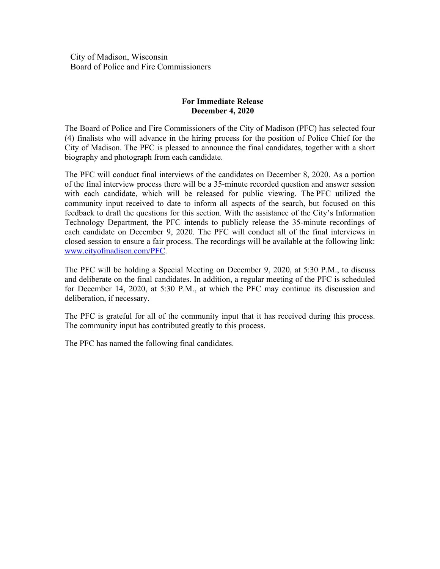City of Madison, Wisconsin Board of Police and Fire Commissioners

## **For Immediate Release December 4, 2020**

The Board of Police and Fire Commissioners of the City of Madison (PFC) has selected four (4) finalists who will advance in the hiring process for the position of Police Chief for the City of Madison. The PFC is pleased to announce the final candidates, together with a short biography and photograph from each candidate.

The PFC will conduct final interviews of the candidates on December 8, 2020. As a portion of the final interview process there will be a 35-minute recorded question and answer session with each candidate, which will be released for public viewing. The PFC utilized the community input received to date to inform all aspects of the search, but focused on this feedback to draft the questions for this section. With the assistance of the City's Information Technology Department, the PFC intends to publicly release the 35-minute recordings of each candidate on December 9, 2020. The PFC will conduct all of the final interviews in closed session to ensure a fair process. The recordings will be available at the following link: www.cityofmadison.com/PFC.

The PFC will be holding a Special Meeting on December 9, 2020, at 5:30 P.M., to discuss and deliberate on the final candidates. In addition, a regular meeting of the PFC is scheduled for December 14, 2020, at 5:30 P.M., at which the PFC may continue its discussion and deliberation, if necessary.

The PFC is grateful for all of the community input that it has received during this process. The community input has contributed greatly to this process.

The PFC has named the following final candidates.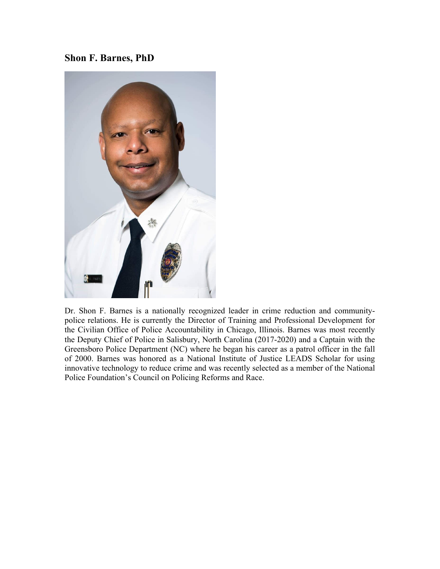**Shon F. Barnes, PhD**



Dr. Shon F. Barnes is a nationally recognized leader in crime reduction and communitypolice relations. He is currently the Director of Training and Professional Development for the Civilian Office of Police Accountability in Chicago, Illinois. Barnes was most recently the Deputy Chief of Police in Salisbury, North Carolina (2017-2020) and a Captain with the Greensboro Police Department (NC) where he began his career as a patrol officer in the fall of 2000. Barnes was honored as a National Institute of Justice LEADS Scholar for using innovative technology to reduce crime and was recently selected as a member of the National Police Foundation's Council on Policing Reforms and Race.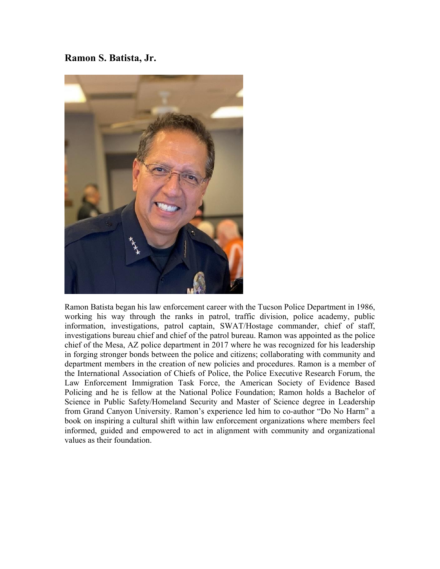## **Ramon S. Batista, Jr.**



Ramon Batista began his law enforcement career with the Tucson Police Department in 1986, working his way through the ranks in patrol, traffic division, police academy, public information, investigations, patrol captain, SWAT/Hostage commander, chief of staff, investigations bureau chief and chief of the patrol bureau. Ramon was appointed as the police chief of the Mesa, AZ police department in 2017 where he was recognized for his leadership in forging stronger bonds between the police and citizens; collaborating with community and department members in the creation of new policies and procedures. Ramon is a member of the International Association of Chiefs of Police, the Police Executive Research Forum, the Law Enforcement Immigration Task Force, the American Society of Evidence Based Policing and he is fellow at the National Police Foundation; Ramon holds a Bachelor of Science in Public Safety/Homeland Security and Master of Science degree in Leadership from Grand Canyon University. Ramon's experience led him to co-author "Do No Harm" a book on inspiring a cultural shift within law enforcement organizations where members feel informed, guided and empowered to act in alignment with community and organizational values as their foundation.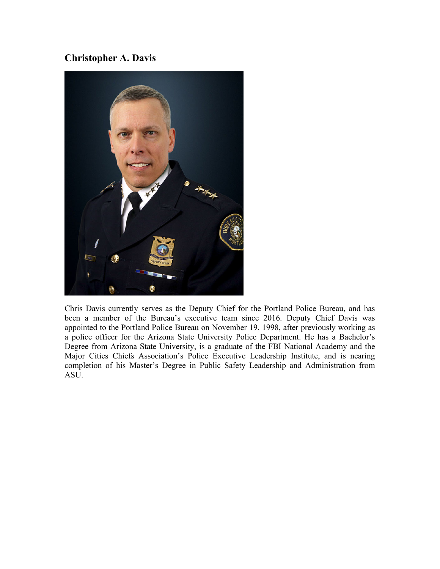## **Christopher A. Davis**



Chris Davis currently serves as the Deputy Chief for the Portland Police Bureau, and has been a member of the Bureau's executive team since 2016. Deputy Chief Davis was appointed to the Portland Police Bureau on November 19, 1998, after previously working as a police officer for the Arizona State University Police Department. He has a Bachelor's Degree from Arizona State University, is a graduate of the FBI National Academy and the Major Cities Chiefs Association's Police Executive Leadership Institute, and is nearing completion of his Master's Degree in Public Safety Leadership and Administration from ASU.